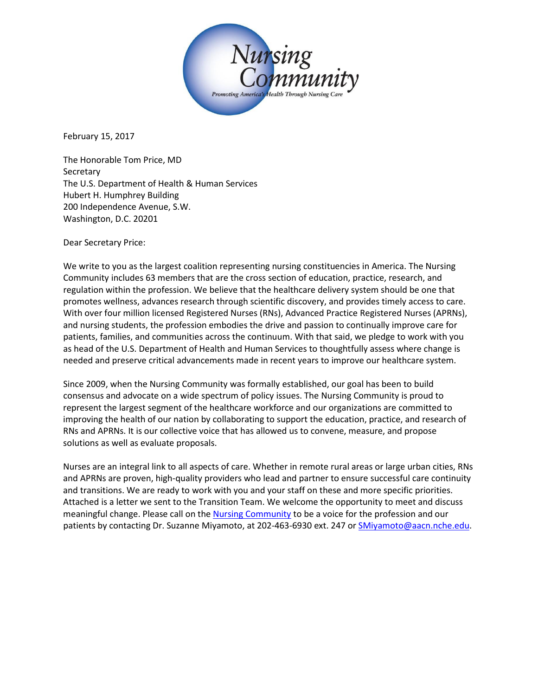

February 15, 2017

The Honorable Tom Price, MD Secretary The U.S. Department of Health & Human Services Hubert H. Humphrey Building 200 Independence Avenue, S.W. Washington, D.C. 20201

Dear Secretary Price:

We write to you as the largest coalition representing nursing constituencies in America. The Nursing Community includes 63 members that are the cross section of education, practice, research, and regulation within the profession. We believe that the healthcare delivery system should be one that promotes wellness, advances research through scientific discovery, and provides timely access to care. With over four million licensed Registered Nurses (RNs), Advanced Practice Registered Nurses (APRNs), and nursing students, the profession embodies the drive and passion to continually improve care for patients, families, and communities across the continuum. With that said, we pledge to work with you as head of the U.S. Department of Health and Human Services to thoughtfully assess where change is needed and preserve critical advancements made in recent years to improve our healthcare system.

Since 2009, when the Nursing Community was formally established, our goal has been to build consensus and advocate on a wide spectrum of policy issues. The Nursing Community is proud to represent the largest segment of the healthcare workforce and our organizations are committed to improving the health of our nation by collaborating to support the education, practice, and research of RNs and APRNs. It is our collective voice that has allowed us to convene, measure, and propose solutions as well as evaluate proposals.

Nurses are an integral link to all aspects of care. Whether in remote rural areas or large urban cities, RNs and APRNs are proven, high-quality providers who lead and partner to ensure successful care continuity and transitions. We are ready to work with you and your staff on these and more specific priorities. Attached is a letter we sent to the Transition Team. We welcome the opportunity to meet and discuss meaningful change. Please call on th[e Nursing Community](http://www.thenursingcommunity.org/) to be a voice for the profession and our patients by contacting Dr. Suzanne Miyamoto, at 202-463-6930 ext. 247 or [SMiyamoto@aacn.nche.edu.](mailto:SMiyamoto@aacn.nche.edu)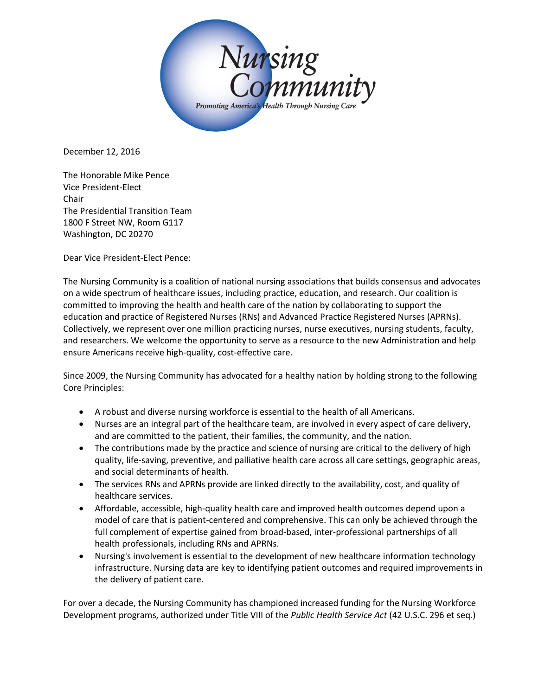

December 12, 2016

The Honorable Mike Pence Vice President-Elect Chair The Presidential Transition Team 1800 F Street NW, Room G117 Washington, DC 20270

Dear Vice President-Elect Pence:

The Nursing Community is a coalition of national nursing associations that builds consensus and advocates on a wide spectrum of healthcare issues, including practice, education, and research. Our coalition is committed to improving the health and health care of the nation by collaborating to support the education and practice of Registered Nurses (RNs) and Advanced Practice Registered Nurses (APRNs). Collectively, we represent over one million practicing nurses, nurse executives, nursing students, faculty, and researchers. We welcome the opportunity to serve as a resource to the new Administration and help ensure Americans receive high-quality, cost-effective care.

Since 2009, the Nursing Community has advocated for a healthy nation by holding strong to the following Core Principles:

- A robust and diverse nursing workforce is essential to the health of all Americans.
- Nurses are an integral part of the healthcare team, are involved in every aspect of care delivery, and are committed to the patient, their families, the community, and the nation.
- The contributions made by the practice and science of nursing are critical to the delivery of high quality, life-saving, preventive, and palliative health care across all care settings, geographic areas, and social determinants of health.
- The services RNs and APRNs provide are linked directly to the availability, cost, and quality of healthcare services.
- Affordable, accessible, high-quality health care and improved health outcomes depend upon a model of care that is patient-centered and comprehensive. This can only be achieved through the full complement of expertise gained from broad-based, inter-professional partnerships of all health professionals, including RNs and APRNs.
- Nursing's involvement is essential to the development of new healthcare information technology infrastructure. Nursing data are key to identifying patient outcomes and required improvements in the delivery of patient care.

For over a decade, the Nursing Community has championed increased funding for the Nursing Workforce Development programs, authorized under Title VIII of the *Public Health Service Act* (42 U.S.C. 296 et seq.)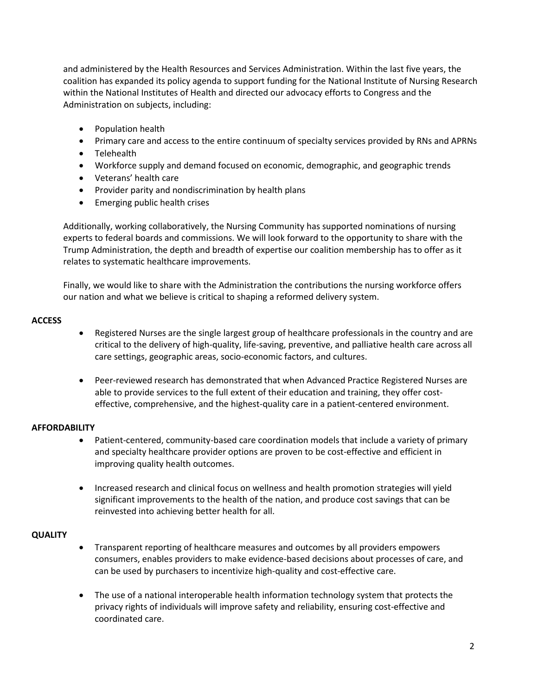and administered by the Health Resources and Services Administration. Within the last five years, the coalition has expanded its policy agenda to support funding for the National Institute of Nursing Research within the National Institutes of Health and directed our advocacy efforts to Congress and the Administration on subjects, including:

- Population health
- Primary care and access to the entire continuum of specialty services provided by RNs and APRNs
- Telehealth
- Workforce supply and demand focused on economic, demographic, and geographic trends
- Veterans' health care
- Provider parity and nondiscrimination by health plans
- Emerging public health crises

Additionally, working collaboratively, the Nursing Community has supported nominations of nursing experts to federal boards and commissions. We will look forward to the opportunity to share with the Trump Administration, the depth and breadth of expertise our coalition membership has to offer as it relates to systematic healthcare improvements.

Finally, we would like to share with the Administration the contributions the nursing workforce offers our nation and what we believe is critical to shaping a reformed delivery system.

## **ACCESS**

- Registered Nurses are the single largest group of healthcare professionals in the country and are critical to the delivery of high-quality, life-saving, preventive, and palliative health care across all care settings, geographic areas, socio-economic factors, and cultures.
- Peer-reviewed research has demonstrated that when Advanced Practice Registered Nurses are able to provide services to the full extent of their education and training, they offer costeffective, comprehensive, and the highest-quality care in a patient-centered environment.

## **AFFORDABILITY**

- Patient-centered, community-based care coordination models that include a variety of primary and specialty healthcare provider options are proven to be cost-effective and efficient in improving quality health outcomes.
- Increased research and clinical focus on wellness and health promotion strategies will yield significant improvements to the health of the nation, and produce cost savings that can be reinvested into achieving better health for all.

## **QUALITY**

- Transparent reporting of healthcare measures and outcomes by all providers empowers consumers, enables providers to make evidence-based decisions about processes of care, and can be used by purchasers to incentivize high-quality and cost-effective care.
- The use of a national interoperable health information technology system that protects the privacy rights of individuals will improve safety and reliability, ensuring cost-effective and coordinated care.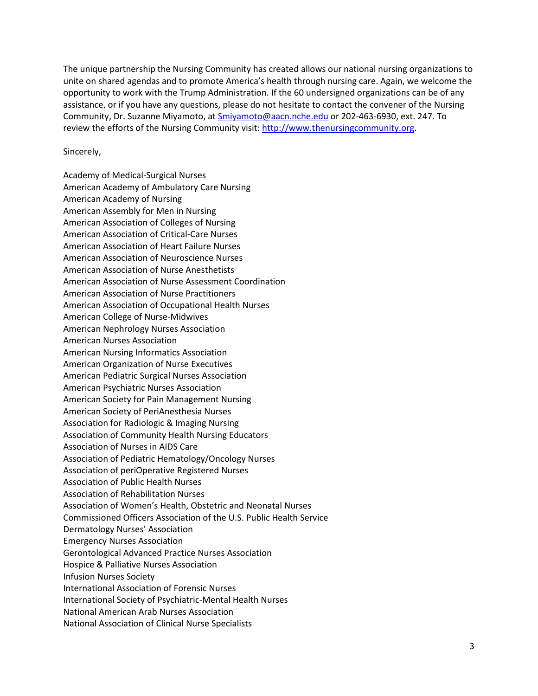The unique partnership the Nursing Community has created allows our national nursing organizations to unite on shared agendas and to promote America's health through nursing care. Again, we welcome the opportunity to work with the Trump Administration. If the 60 undersigned organizations can be of any assistance, or if you have any questions, please do not hesitate to contact the convener of the Nursing Community, Dr. Suzanne Miyamoto, at [Smiyamoto@aacn.nche.edu](mailto:Smiyamoto@aacn.nche.edu) or 202-463-6930, ext. 247. To review the efforts of the Nursing Community visit: [http://www.thenursingcommunity.org.](http://www.thenursingcommunity.org/)

### Sincerely,

Academy of Medical-Surgical Nurses American Academy of Ambulatory Care Nursing American Academy of Nursing American Assembly for Men in Nursing American Association of Colleges of Nursing American Association of Critical-Care Nurses American Association of Heart Failure Nurses American Association of Neuroscience Nurses American Association of Nurse Anesthetists American Association of Nurse Assessment Coordination American Association of Nurse Practitioners American Association of Occupational Health Nurses American College of Nurse-Midwives American Nephrology Nurses Association American Nurses Association American Nursing Informatics Association American Organization of Nurse Executives American Pediatric Surgical Nurses Association American Psychiatric Nurses Association American Society for Pain Management Nursing American Society of PeriAnesthesia Nurses Association for Radiologic & Imaging Nursing Association of Community Health Nursing Educators Association of Nurses in AIDS Care Association of Pediatric Hematology/Oncology Nurses Association of periOperative Registered Nurses Association of Public Health Nurses Association of Rehabilitation Nurses Association of Women's Health, Obstetric and Neonatal Nurses Commissioned Officers Association of the U.S. Public Health Service Dermatology Nurses' Association Emergency Nurses Association Gerontological Advanced Practice Nurses Association Hospice & Palliative Nurses Association Infusion Nurses Society International Association of Forensic Nurses International Society of Psychiatric-Mental Health Nurses National American Arab Nurses Association National Association of Clinical Nurse Specialists